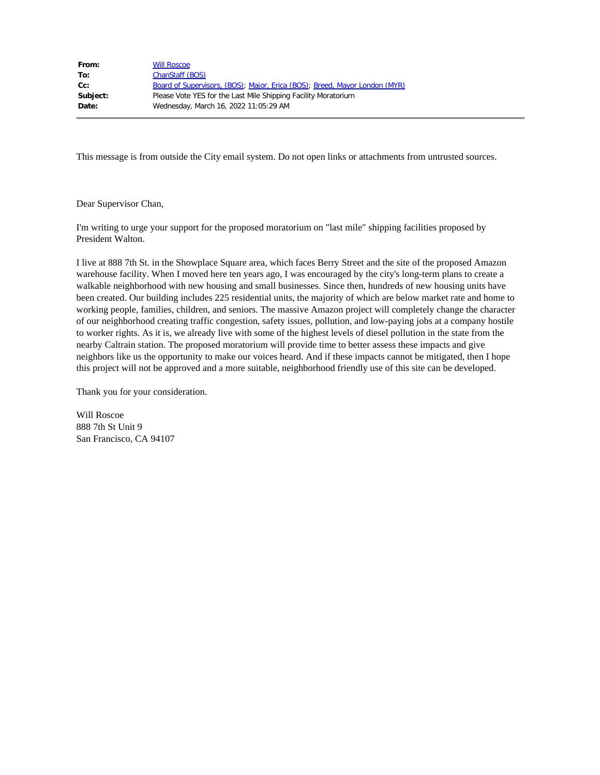| From:    | <b>Will Roscoe</b>                                                         |
|----------|----------------------------------------------------------------------------|
| To:      | ChanStaff (BOS)                                                            |
| $Cc$ :   | Board of Supervisors, (BOS); Major, Erica (BOS); Breed, Mayor London (MYR) |
| Subject: | Please Vote YES for the Last Mile Shipping Facility Moratorium             |
| Date:    | Wednesday, March 16, 2022 11:05:29 AM                                      |
|          |                                                                            |

Dear Supervisor Chan,

I'm writing to urge your support for the proposed moratorium on "last mile" shipping facilities proposed by President Walton.

I live at 888 7th St. in the Showplace Square area, which faces Berry Street and the site of the proposed Amazon warehouse facility. When I moved here ten years ago, I was encouraged by the city's long-term plans to create a walkable neighborhood with new housing and small businesses. Since then, hundreds of new housing units have been created. Our building includes 225 residential units, the majority of which are below market rate and home to working people, families, children, and seniors. The massive Amazon project will completely change the character of our neighborhood creating traffic congestion, safety issues, pollution, and low-paying jobs at a company hostile to worker rights. As it is, we already live with some of the highest levels of diesel pollution in the state from the nearby Caltrain station. The proposed moratorium will provide time to better assess these impacts and give neighbors like us the opportunity to make our voices heard. And if these impacts cannot be mitigated, then I hope this project will not be approved and a more suitable, neighborhood friendly use of this site can be developed.

Thank you for your consideration.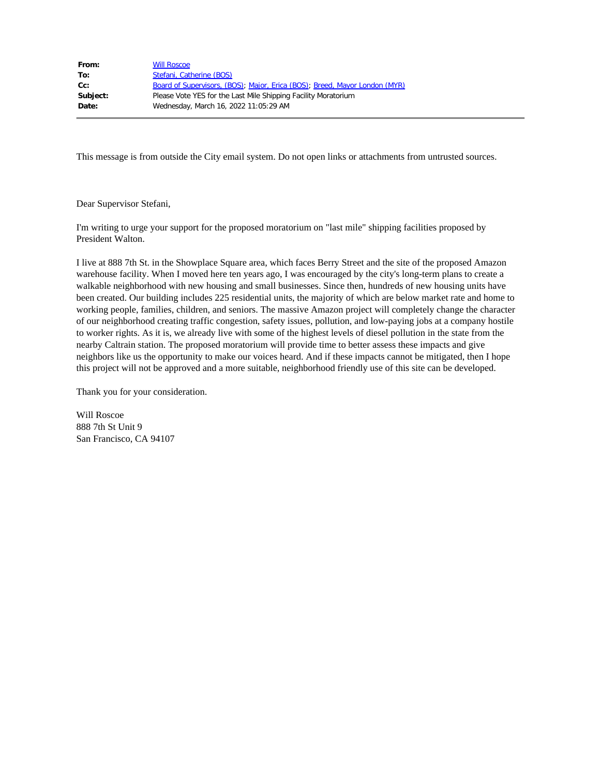| From:    | <b>Will Roscoe</b>                                                         |
|----------|----------------------------------------------------------------------------|
| To:      | Stefani, Catherine (BOS)                                                   |
| $Cc$ :   | Board of Supervisors, (BOS); Major, Erica (BOS); Breed, Mayor London (MYR) |
| Subject: | Please Vote YES for the Last Mile Shipping Facility Moratorium             |
| Date:    | Wednesday, March 16, 2022 11:05:29 AM                                      |
|          |                                                                            |

Dear Supervisor Stefani,

I'm writing to urge your support for the proposed moratorium on "last mile" shipping facilities proposed by President Walton.

I live at 888 7th St. in the Showplace Square area, which faces Berry Street and the site of the proposed Amazon warehouse facility. When I moved here ten years ago, I was encouraged by the city's long-term plans to create a walkable neighborhood with new housing and small businesses. Since then, hundreds of new housing units have been created. Our building includes 225 residential units, the majority of which are below market rate and home to working people, families, children, and seniors. The massive Amazon project will completely change the character of our neighborhood creating traffic congestion, safety issues, pollution, and low-paying jobs at a company hostile to worker rights. As it is, we already live with some of the highest levels of diesel pollution in the state from the nearby Caltrain station. The proposed moratorium will provide time to better assess these impacts and give neighbors like us the opportunity to make our voices heard. And if these impacts cannot be mitigated, then I hope this project will not be approved and a more suitable, neighborhood friendly use of this site can be developed.

Thank you for your consideration.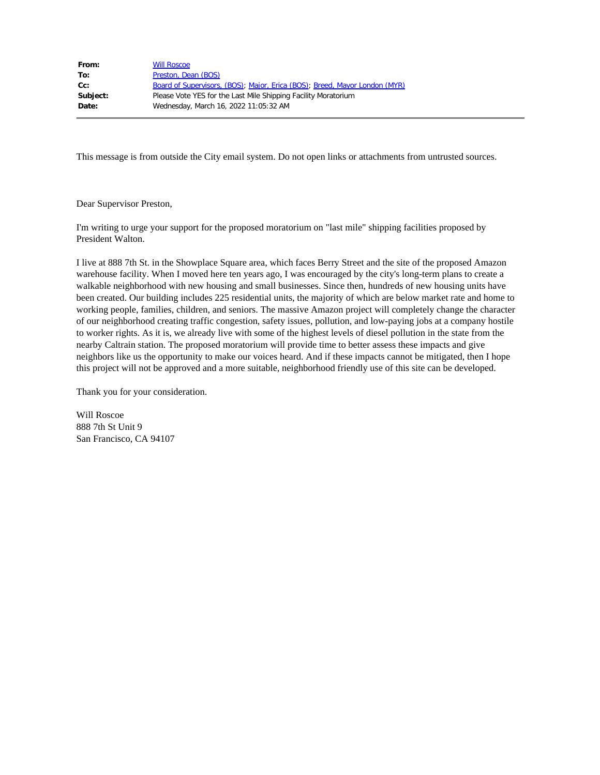| From:    | <b>Will Roscoe</b>                                                         |
|----------|----------------------------------------------------------------------------|
| To:      | Preston, Dean (BOS)                                                        |
| $Cc$ :   | Board of Supervisors, (BOS); Major, Erica (BOS); Breed, Mayor London (MYR) |
| Subject: | Please Vote YES for the Last Mile Shipping Facility Moratorium             |
| Date:    | Wednesday, March 16, 2022 11:05:32 AM                                      |
|          |                                                                            |

Dear Supervisor Preston,

I'm writing to urge your support for the proposed moratorium on "last mile" shipping facilities proposed by President Walton.

I live at 888 7th St. in the Showplace Square area, which faces Berry Street and the site of the proposed Amazon warehouse facility. When I moved here ten years ago, I was encouraged by the city's long-term plans to create a walkable neighborhood with new housing and small businesses. Since then, hundreds of new housing units have been created. Our building includes 225 residential units, the majority of which are below market rate and home to working people, families, children, and seniors. The massive Amazon project will completely change the character of our neighborhood creating traffic congestion, safety issues, pollution, and low-paying jobs at a company hostile to worker rights. As it is, we already live with some of the highest levels of diesel pollution in the state from the nearby Caltrain station. The proposed moratorium will provide time to better assess these impacts and give neighbors like us the opportunity to make our voices heard. And if these impacts cannot be mitigated, then I hope this project will not be approved and a more suitable, neighborhood friendly use of this site can be developed.

Thank you for your consideration.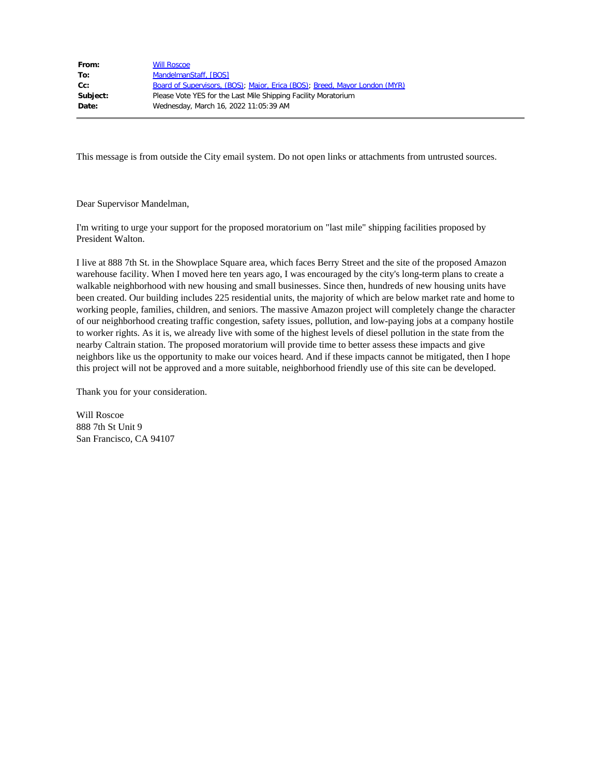| From:    | <b>Will Roscoe</b>                                                         |
|----------|----------------------------------------------------------------------------|
| To:      | MandelmanStaff, [BOS]                                                      |
| $Cc$ :   | Board of Supervisors, (BOS); Major, Erica (BOS); Breed, Mayor London (MYR) |
| Subject: | Please Vote YES for the Last Mile Shipping Facility Moratorium             |
| Date:    | Wednesday, March 16, 2022 11:05:39 AM                                      |
|          |                                                                            |

Dear Supervisor Mandelman,

I'm writing to urge your support for the proposed moratorium on "last mile" shipping facilities proposed by President Walton.

I live at 888 7th St. in the Showplace Square area, which faces Berry Street and the site of the proposed Amazon warehouse facility. When I moved here ten years ago, I was encouraged by the city's long-term plans to create a walkable neighborhood with new housing and small businesses. Since then, hundreds of new housing units have been created. Our building includes 225 residential units, the majority of which are below market rate and home to working people, families, children, and seniors. The massive Amazon project will completely change the character of our neighborhood creating traffic congestion, safety issues, pollution, and low-paying jobs at a company hostile to worker rights. As it is, we already live with some of the highest levels of diesel pollution in the state from the nearby Caltrain station. The proposed moratorium will provide time to better assess these impacts and give neighbors like us the opportunity to make our voices heard. And if these impacts cannot be mitigated, then I hope this project will not be approved and a more suitable, neighborhood friendly use of this site can be developed.

Thank you for your consideration.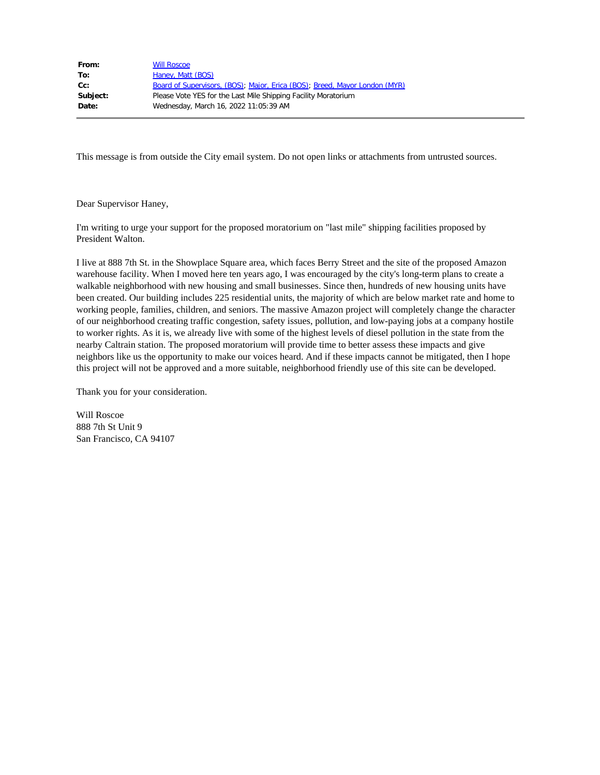| From:    | <b>Will Roscoe</b>                                                         |
|----------|----------------------------------------------------------------------------|
| To:      | Haney, Matt (BOS)                                                          |
| $Cc$ :   | Board of Supervisors, (BOS); Major, Erica (BOS); Breed, Mayor London (MYR) |
| Subject: | Please Vote YES for the Last Mile Shipping Facility Moratorium             |
| Date:    | Wednesday, March 16, 2022 11:05:39 AM                                      |
|          |                                                                            |

Dear Supervisor Haney,

I'm writing to urge your support for the proposed moratorium on "last mile" shipping facilities proposed by President Walton.

I live at 888 7th St. in the Showplace Square area, which faces Berry Street and the site of the proposed Amazon warehouse facility. When I moved here ten years ago, I was encouraged by the city's long-term plans to create a walkable neighborhood with new housing and small businesses. Since then, hundreds of new housing units have been created. Our building includes 225 residential units, the majority of which are below market rate and home to working people, families, children, and seniors. The massive Amazon project will completely change the character of our neighborhood creating traffic congestion, safety issues, pollution, and low-paying jobs at a company hostile to worker rights. As it is, we already live with some of the highest levels of diesel pollution in the state from the nearby Caltrain station. The proposed moratorium will provide time to better assess these impacts and give neighbors like us the opportunity to make our voices heard. And if these impacts cannot be mitigated, then I hope this project will not be approved and a more suitable, neighborhood friendly use of this site can be developed.

Thank you for your consideration.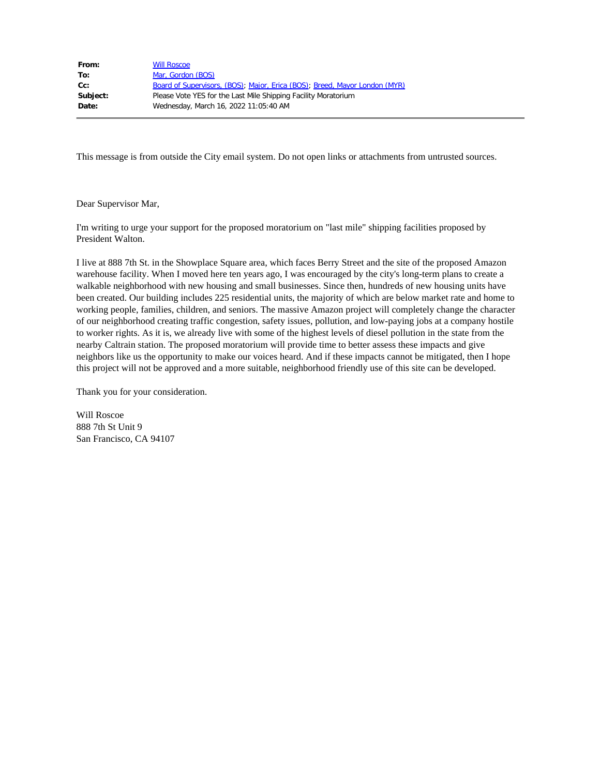| From:    | <b>Will Roscoe</b>                                                         |
|----------|----------------------------------------------------------------------------|
| To:      | Mar, Gordon (BOS)                                                          |
| $Cc$ :   | Board of Supervisors, (BOS); Major, Erica (BOS); Breed, Mayor London (MYR) |
| Subject: | Please Vote YES for the Last Mile Shipping Facility Moratorium             |
| Date:    | Wednesday, March 16, 2022 11:05:40 AM                                      |
|          |                                                                            |

Dear Supervisor Mar,

I'm writing to urge your support for the proposed moratorium on "last mile" shipping facilities proposed by President Walton.

I live at 888 7th St. in the Showplace Square area, which faces Berry Street and the site of the proposed Amazon warehouse facility. When I moved here ten years ago, I was encouraged by the city's long-term plans to create a walkable neighborhood with new housing and small businesses. Since then, hundreds of new housing units have been created. Our building includes 225 residential units, the majority of which are below market rate and home to working people, families, children, and seniors. The massive Amazon project will completely change the character of our neighborhood creating traffic congestion, safety issues, pollution, and low-paying jobs at a company hostile to worker rights. As it is, we already live with some of the highest levels of diesel pollution in the state from the nearby Caltrain station. The proposed moratorium will provide time to better assess these impacts and give neighbors like us the opportunity to make our voices heard. And if these impacts cannot be mitigated, then I hope this project will not be approved and a more suitable, neighborhood friendly use of this site can be developed.

Thank you for your consideration.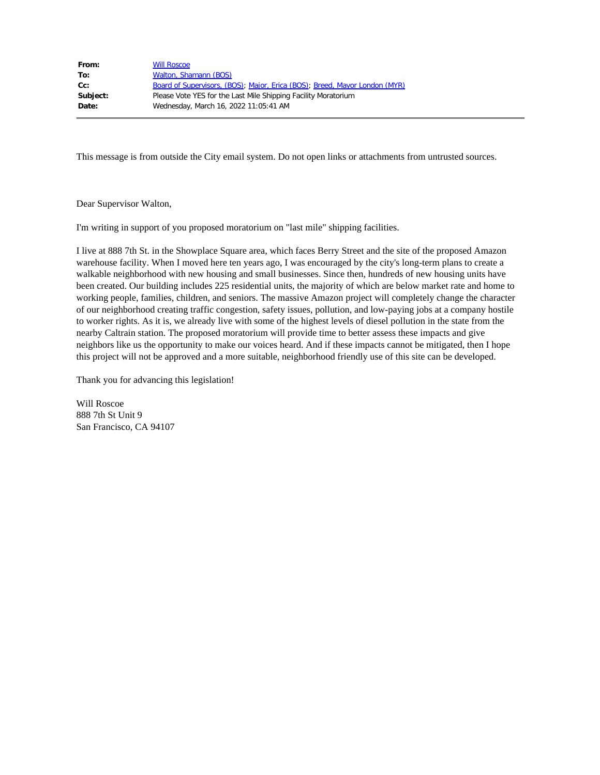| From:    | <b>Will Roscoe</b>                                                         |
|----------|----------------------------------------------------------------------------|
| To:      | Walton, Shamann (BOS)                                                      |
| $Cc$ :   | Board of Supervisors, (BOS); Major, Erica (BOS); Breed, Mayor London (MYR) |
| Subject: | Please Vote YES for the Last Mile Shipping Facility Moratorium             |
| Date:    | Wednesday, March 16, 2022 11:05:41 AM                                      |
|          |                                                                            |

Dear Supervisor Walton,

I'm writing in support of you proposed moratorium on "last mile" shipping facilities.

I live at 888 7th St. in the Showplace Square area, which faces Berry Street and the site of the proposed Amazon warehouse facility. When I moved here ten years ago, I was encouraged by the city's long-term plans to create a walkable neighborhood with new housing and small businesses. Since then, hundreds of new housing units have been created. Our building includes 225 residential units, the majority of which are below market rate and home to working people, families, children, and seniors. The massive Amazon project will completely change the character of our neighborhood creating traffic congestion, safety issues, pollution, and low-paying jobs at a company hostile to worker rights. As it is, we already live with some of the highest levels of diesel pollution in the state from the nearby Caltrain station. The proposed moratorium will provide time to better assess these impacts and give neighbors like us the opportunity to make our voices heard. And if these impacts cannot be mitigated, then I hope this project will not be approved and a more suitable, neighborhood friendly use of this site can be developed.

Thank you for advancing this legislation!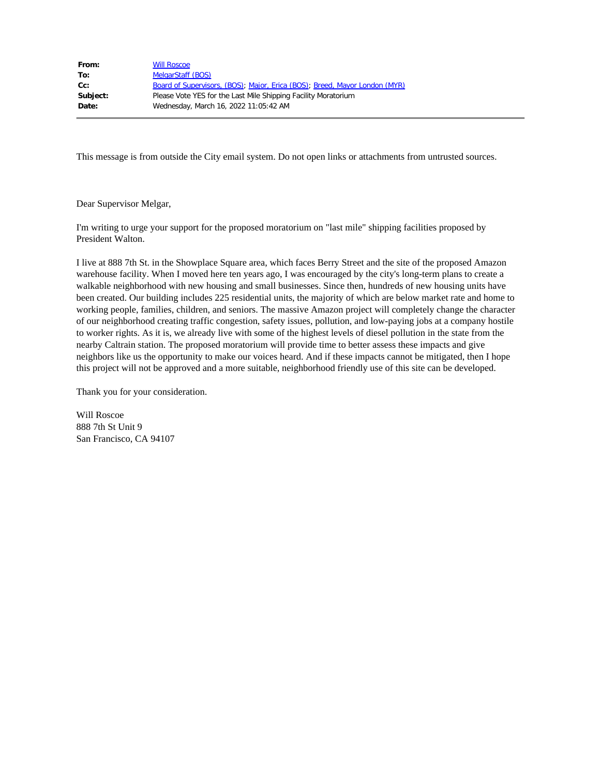| From:    | <b>Will Roscoe</b>                                                         |
|----------|----------------------------------------------------------------------------|
| To:      | MelgarStaff (BOS)                                                          |
| $Cc$ :   | Board of Supervisors, (BOS); Major, Erica (BOS); Breed, Mayor London (MYR) |
| Subject: | Please Vote YES for the Last Mile Shipping Facility Moratorium             |
| Date:    | Wednesday, March 16, 2022 11:05:42 AM                                      |
|          |                                                                            |

Dear Supervisor Melgar,

I'm writing to urge your support for the proposed moratorium on "last mile" shipping facilities proposed by President Walton.

I live at 888 7th St. in the Showplace Square area, which faces Berry Street and the site of the proposed Amazon warehouse facility. When I moved here ten years ago, I was encouraged by the city's long-term plans to create a walkable neighborhood with new housing and small businesses. Since then, hundreds of new housing units have been created. Our building includes 225 residential units, the majority of which are below market rate and home to working people, families, children, and seniors. The massive Amazon project will completely change the character of our neighborhood creating traffic congestion, safety issues, pollution, and low-paying jobs at a company hostile to worker rights. As it is, we already live with some of the highest levels of diesel pollution in the state from the nearby Caltrain station. The proposed moratorium will provide time to better assess these impacts and give neighbors like us the opportunity to make our voices heard. And if these impacts cannot be mitigated, then I hope this project will not be approved and a more suitable, neighborhood friendly use of this site can be developed.

Thank you for your consideration.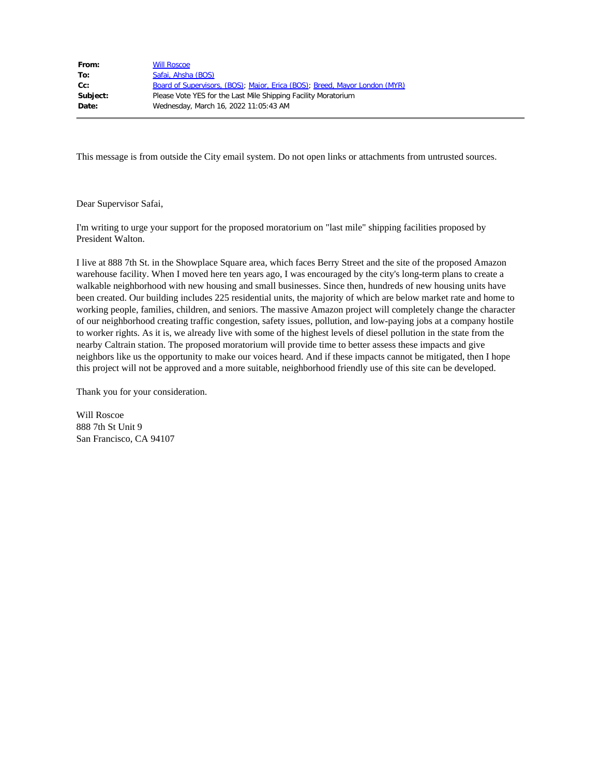| From:    | <b>Will Roscoe</b>                                                         |
|----------|----------------------------------------------------------------------------|
| To:      | Safai, Ahsha (BOS)                                                         |
| $Cc$ :   | Board of Supervisors, (BOS); Major, Erica (BOS); Breed, Mayor London (MYR) |
| Subject: | Please Vote YES for the Last Mile Shipping Facility Moratorium             |
| Date:    | Wednesday, March 16, 2022 11:05:43 AM                                      |
|          |                                                                            |

Dear Supervisor Safai,

I'm writing to urge your support for the proposed moratorium on "last mile" shipping facilities proposed by President Walton.

I live at 888 7th St. in the Showplace Square area, which faces Berry Street and the site of the proposed Amazon warehouse facility. When I moved here ten years ago, I was encouraged by the city's long-term plans to create a walkable neighborhood with new housing and small businesses. Since then, hundreds of new housing units have been created. Our building includes 225 residential units, the majority of which are below market rate and home to working people, families, children, and seniors. The massive Amazon project will completely change the character of our neighborhood creating traffic congestion, safety issues, pollution, and low-paying jobs at a company hostile to worker rights. As it is, we already live with some of the highest levels of diesel pollution in the state from the nearby Caltrain station. The proposed moratorium will provide time to better assess these impacts and give neighbors like us the opportunity to make our voices heard. And if these impacts cannot be mitigated, then I hope this project will not be approved and a more suitable, neighborhood friendly use of this site can be developed.

Thank you for your consideration.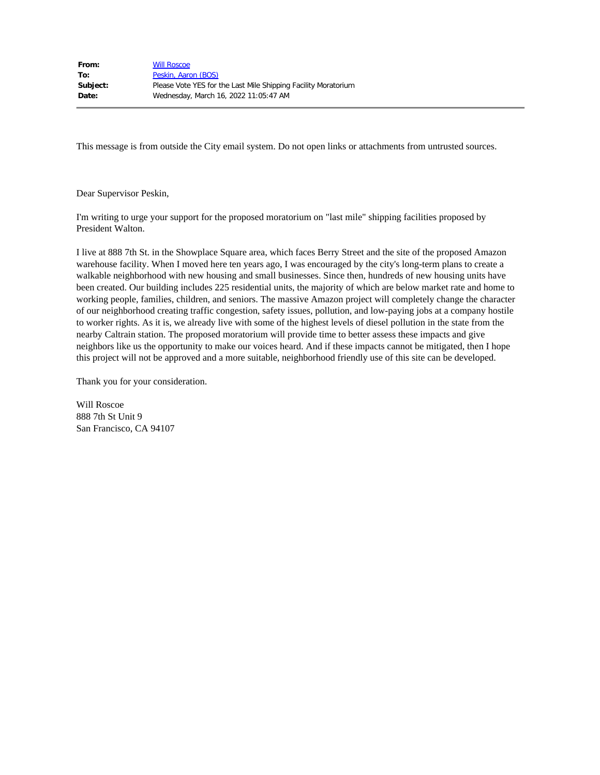| <b>Will Roscoe</b>                                             |
|----------------------------------------------------------------|
| Peskin, Aaron (BOS)                                            |
| Please Vote YES for the Last Mile Shipping Facility Moratorium |
| Wednesday, March 16, 2022 11:05:47 AM                          |
|                                                                |

Dear Supervisor Peskin,

I'm writing to urge your support for the proposed moratorium on "last mile" shipping facilities proposed by President Walton.

I live at 888 7th St. in the Showplace Square area, which faces Berry Street and the site of the proposed Amazon warehouse facility. When I moved here ten years ago, I was encouraged by the city's long-term plans to create a walkable neighborhood with new housing and small businesses. Since then, hundreds of new housing units have been created. Our building includes 225 residential units, the majority of which are below market rate and home to working people, families, children, and seniors. The massive Amazon project will completely change the character of our neighborhood creating traffic congestion, safety issues, pollution, and low-paying jobs at a company hostile to worker rights. As it is, we already live with some of the highest levels of diesel pollution in the state from the nearby Caltrain station. The proposed moratorium will provide time to better assess these impacts and give neighbors like us the opportunity to make our voices heard. And if these impacts cannot be mitigated, then I hope this project will not be approved and a more suitable, neighborhood friendly use of this site can be developed.

Thank you for your consideration.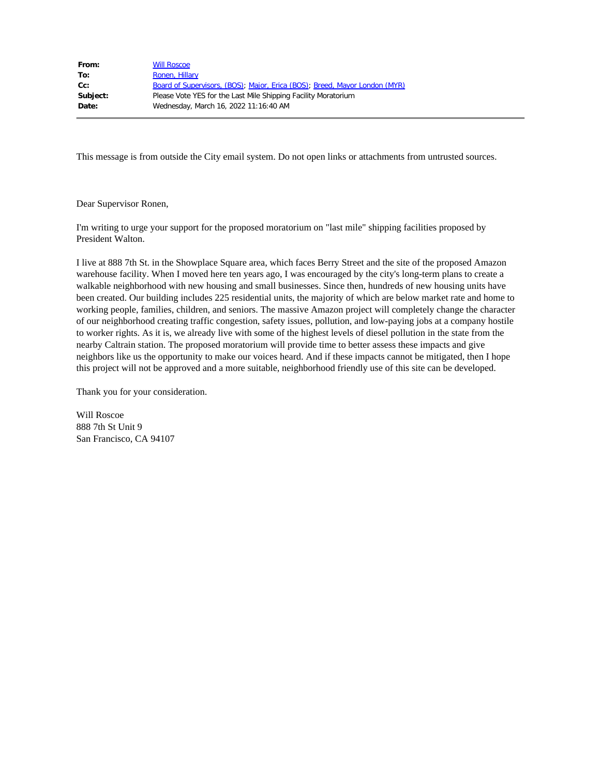| From:    | <b>Will Roscoe</b>                                                         |
|----------|----------------------------------------------------------------------------|
| To:      | Ronen, Hillary                                                             |
| $Cc$ :   | Board of Supervisors, (BOS); Major, Erica (BOS); Breed, Mayor London (MYR) |
| Subject: | Please Vote YES for the Last Mile Shipping Facility Moratorium             |
| Date:    | Wednesday, March 16, 2022 11:16:40 AM                                      |
|          |                                                                            |

Dear Supervisor Ronen,

I'm writing to urge your support for the proposed moratorium on "last mile" shipping facilities proposed by President Walton.

I live at 888 7th St. in the Showplace Square area, which faces Berry Street and the site of the proposed Amazon warehouse facility. When I moved here ten years ago, I was encouraged by the city's long-term plans to create a walkable neighborhood with new housing and small businesses. Since then, hundreds of new housing units have been created. Our building includes 225 residential units, the majority of which are below market rate and home to working people, families, children, and seniors. The massive Amazon project will completely change the character of our neighborhood creating traffic congestion, safety issues, pollution, and low-paying jobs at a company hostile to worker rights. As it is, we already live with some of the highest levels of diesel pollution in the state from the nearby Caltrain station. The proposed moratorium will provide time to better assess these impacts and give neighbors like us the opportunity to make our voices heard. And if these impacts cannot be mitigated, then I hope this project will not be approved and a more suitable, neighborhood friendly use of this site can be developed.

Thank you for your consideration.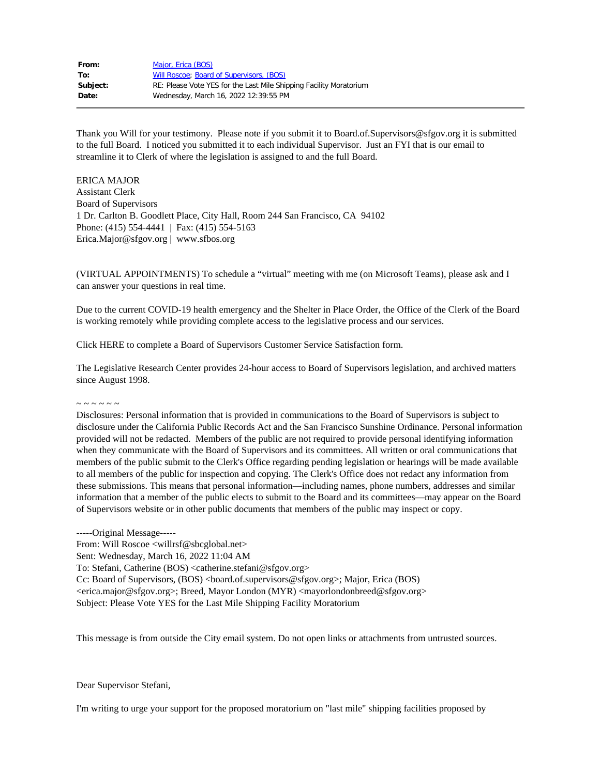| Major, Erica (BOS)                                                 |
|--------------------------------------------------------------------|
| Will Roscoe; Board of Supervisors, (BOS)                           |
| RE: Please Vote YES for the Last Mile Shipping Facility Moratorium |
| Wednesday, March 16, 2022 12:39:55 PM                              |
|                                                                    |

Thank you Will for your testimony. Please note if you submit it to Board.of.Supervisors@sfgov.org it is submitted to the full Board. I noticed you submitted it to each individual Supervisor. Just an FYI that is our email to streamline it to Clerk of where the legislation is assigned to and the full Board.

ERICA MAJOR Assistant Clerk Board of Supervisors 1 Dr. Carlton B. Goodlett Place, City Hall, Room 244 San Francisco, CA 94102 Phone: (415) 554-4441 | Fax: (415) 554-5163 Erica.Major@sfgov.org | www.sfbos.org

(VIRTUAL APPOINTMENTS) To schedule a "virtual" meeting with me (on Microsoft Teams), please ask and I can answer your questions in real time.

Due to the current COVID-19 health emergency and the Shelter in Place Order, the Office of the Clerk of the Board is working remotely while providing complete access to the legislative process and our services.

Click HERE to complete a Board of Supervisors Customer Service Satisfaction form.

The Legislative Research Center provides 24-hour access to Board of Supervisors legislation, and archived matters since August 1998.

 $\sim$   $\sim$   $\sim$   $\sim$   $\sim$ 

Disclosures: Personal information that is provided in communications to the Board of Supervisors is subject to disclosure under the California Public Records Act and the San Francisco Sunshine Ordinance. Personal information provided will not be redacted. Members of the public are not required to provide personal identifying information when they communicate with the Board of Supervisors and its committees. All written or oral communications that members of the public submit to the Clerk's Office regarding pending legislation or hearings will be made available to all members of the public for inspection and copying. The Clerk's Office does not redact any information from these submissions. This means that personal information—including names, phone numbers, addresses and similar information that a member of the public elects to submit to the Board and its committees—may appear on the Board of Supervisors website or in other public documents that members of the public may inspect or copy.

-----Original Message----- From: Will Roscoe <willrsf@sbcglobal.net> Sent: Wednesday, March 16, 2022 11:04 AM To: Stefani, Catherine (BOS) <catherine.stefani@sfgov.org> Cc: Board of Supervisors, (BOS) <br/>board.of.supervisors@sfgov.org>; Major, Erica (BOS) <erica.major@sfgov.org>; Breed, Mayor London (MYR) <mayorlondonbreed@sfgov.org> Subject: Please Vote YES for the Last Mile Shipping Facility Moratorium

This message is from outside the City email system. Do not open links or attachments from untrusted sources.

Dear Supervisor Stefani,

I'm writing to urge your support for the proposed moratorium on "last mile" shipping facilities proposed by